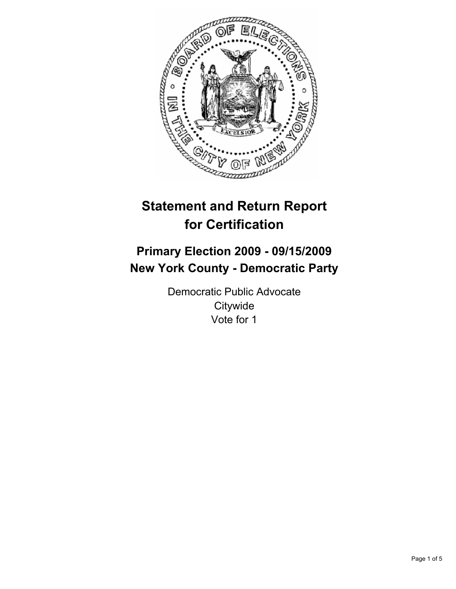

# **Statement and Return Report for Certification**

# **Primary Election 2009 - 09/15/2009 New York County - Democratic Party**

Democratic Public Advocate **Citywide** Vote for 1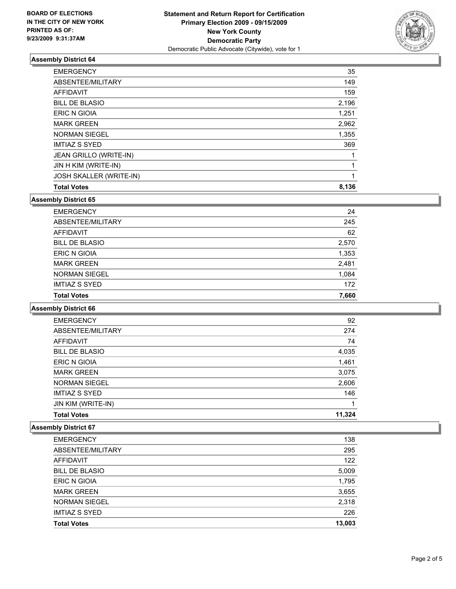

## **Assembly District 64**

| JOSH SKALLER (WRITE-IN) | 1     |
|-------------------------|-------|
| JIN H KIM (WRITE-IN)    | 1     |
| JEAN GRILLO (WRITE-IN)  |       |
| <b>IMTIAZ S SYED</b>    | 369   |
| <b>NORMAN SIEGEL</b>    | 1,355 |
| <b>MARK GREEN</b>       | 2,962 |
| ERIC N GIOIA            | 1,251 |
| <b>BILL DE BLASIO</b>   | 2,196 |
| <b>AFFIDAVIT</b>        | 159   |
| ABSENTEE/MILITARY       | 149   |
| <b>EMERGENCY</b>        | 35    |

#### **Assembly District 65**

| <b>EMERGENCY</b>      | 24    |
|-----------------------|-------|
| ABSENTEE/MILITARY     | 245   |
| <b>AFFIDAVIT</b>      | 62    |
| <b>BILL DE BLASIO</b> | 2,570 |
| <b>ERIC N GIOIA</b>   | 1,353 |
| <b>MARK GREEN</b>     | 2,481 |
| <b>NORMAN SIEGEL</b>  | 1,084 |
| <b>IMTIAZ S SYED</b>  | 172   |
| <b>Total Votes</b>    | 7,660 |

#### **Assembly District 66**

| <b>EMERGENCY</b>          | 92     |
|---------------------------|--------|
| ABSENTEE/MILITARY         | 274    |
| AFFIDAVIT                 | 74     |
| <b>BILL DE BLASIO</b>     | 4,035  |
| <b>ERIC N GIOIA</b>       | 1,461  |
| <b>MARK GREEN</b>         | 3,075  |
| <b>NORMAN SIEGEL</b>      | 2,606  |
| <b>IMTIAZ S SYED</b>      | 146    |
| <b>JIN KIM (WRITE-IN)</b> | 1      |
| <b>Total Votes</b>        | 11.324 |

# **Assembly District 67**

| <b>Total Votes</b>    | 13,003 |
|-----------------------|--------|
| <b>IMTIAZ S SYED</b>  | 226    |
| <b>NORMAN SIEGEL</b>  | 2,318  |
| <b>MARK GREEN</b>     | 3,655  |
| <b>ERIC N GIOIA</b>   | 1,795  |
| <b>BILL DE BLASIO</b> | 5,009  |
| <b>AFFIDAVIT</b>      | 122    |
| ABSENTEE/MILITARY     | 295    |
| <b>EMERGENCY</b>      | 138    |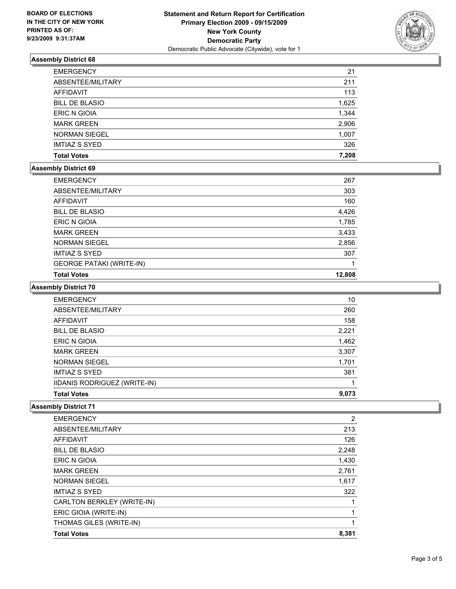

### **Assembly District 68**

| <b>EMERGENCY</b>      | 21    |
|-----------------------|-------|
| ABSENTEE/MILITARY     | 211   |
| AFFIDAVIT             | 113   |
| <b>BILL DE BLASIO</b> | 1,625 |
| <b>ERIC N GIOIA</b>   | 1,344 |
| <b>MARK GREEN</b>     | 2,906 |
| <b>NORMAN SIEGEL</b>  | 1,007 |
| <b>IMTIAZ S SYED</b>  | 326   |
| <b>Total Votes</b>    | 7,208 |

#### **Assembly District 69**

| <b>EMERGENCY</b>                | 267    |
|---------------------------------|--------|
| ABSENTEE/MILITARY               | 303    |
| AFFIDAVIT                       | 160    |
| <b>BILL DE BLASIO</b>           | 4,426  |
| <b>ERIC N GIOIA</b>             | 1,785  |
| <b>MARK GREEN</b>               | 3,433  |
| <b>NORMAN SIEGEL</b>            | 2,856  |
| <b>IMTIAZ S SYED</b>            | 307    |
| <b>GEORGE PATAKI (WRITE-IN)</b> |        |
| <b>Total Votes</b>              | 12,808 |

#### **Assembly District 70**

| <b>EMERGENCY</b>             | 10    |
|------------------------------|-------|
| ABSENTEE/MILITARY            | 260   |
| AFFIDAVIT                    | 158   |
| <b>BILL DE BLASIO</b>        | 2,221 |
| ERIC N GIOIA                 | 1,462 |
| <b>MARK GREEN</b>            | 3,307 |
| <b>NORMAN SIEGEL</b>         | 1,701 |
| <b>IMTIAZ S SYED</b>         | 381   |
| IIDANIS RODRIGUEZ (WRITE-IN) |       |
| <b>Total Votes</b>           | 9.073 |

#### **Assembly District 71**

| <b>EMERGENCY</b>           | 2     |
|----------------------------|-------|
| ABSENTEE/MILITARY          | 213   |
| AFFIDAVIT                  | 126   |
| <b>BILL DE BLASIO</b>      | 2,248 |
| <b>ERIC N GIOIA</b>        | 1,430 |
| <b>MARK GREEN</b>          | 2,761 |
| <b>NORMAN SIEGEL</b>       | 1,617 |
| <b>IMTIAZ S SYED</b>       | 322   |
| CARLTON BERKLEY (WRITE-IN) |       |
| ERIC GIOIA (WRITE-IN)      |       |
| THOMAS GILES (WRITE-IN)    | 1     |
| <b>Total Votes</b>         | 8,381 |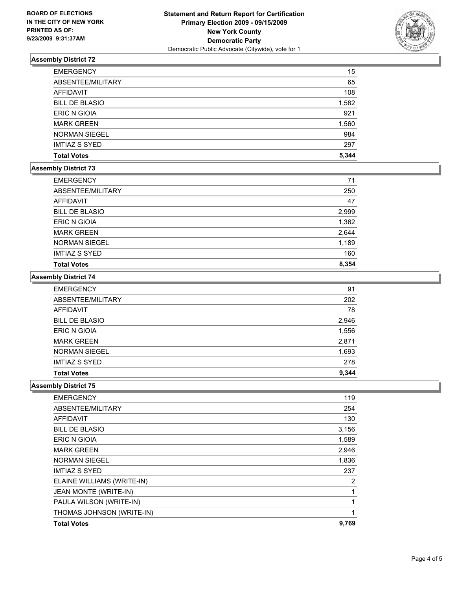

### **Assembly District 72**

| <b>EMERGENCY</b>      | 15    |
|-----------------------|-------|
| ABSENTEE/MILITARY     | 65    |
| AFFIDAVIT             | 108   |
| <b>BILL DE BLASIO</b> | 1,582 |
| <b>ERIC N GIOIA</b>   | 921   |
| <b>MARK GREEN</b>     | 1,560 |
| <b>NORMAN SIEGEL</b>  | 984   |
| <b>IMTIAZ S SYED</b>  | 297   |
| <b>Total Votes</b>    | 5,344 |

#### **Assembly District 73**

| <b>EMERGENCY</b>      | 71    |
|-----------------------|-------|
| ABSENTEE/MILITARY     | 250   |
| AFFIDAVIT             | 47    |
| <b>BILL DE BLASIO</b> | 2,999 |
| <b>ERIC N GIOIA</b>   | 1,362 |
| <b>MARK GREEN</b>     | 2,644 |
| <b>NORMAN SIEGEL</b>  | 1,189 |
| <b>IMTIAZ S SYED</b>  | 160   |
| <b>Total Votes</b>    | 8,354 |

#### **Assembly District 74**

| <b>EMERGENCY</b>      | 91    |
|-----------------------|-------|
| ABSENTEE/MILITARY     | 202   |
| <b>AFFIDAVIT</b>      | 78    |
| <b>BILL DE BLASIO</b> | 2,946 |
| <b>ERIC N GIOIA</b>   | 1,556 |
| <b>MARK GREEN</b>     | 2,871 |
| <b>NORMAN SIEGEL</b>  | 1,693 |
| <b>IMTIAZ S SYED</b>  | 278   |
| <b>Total Votes</b>    | 9,344 |

#### **Assembly District 75**

| <b>Total Votes</b>         | 9,769 |
|----------------------------|-------|
| THOMAS JOHNSON (WRITE-IN)  | 1     |
| PAULA WILSON (WRITE-IN)    | 1     |
| JEAN MONTE (WRITE-IN)      | 1     |
| ELAINE WILLIAMS (WRITE-IN) |       |
|                            | 2     |
| <b>IMTIAZ S SYED</b>       | 237   |
| <b>NORMAN SIEGEL</b>       | 1,836 |
| <b>MARK GREEN</b>          | 2,946 |
| <b>ERIC N GIOIA</b>        | 1,589 |
| <b>BILL DE BLASIO</b>      | 3,156 |
| <b>AFFIDAVIT</b>           | 130   |
| ABSENTEE/MILITARY          | 254   |
| <b>EMERGENCY</b>           | 119   |